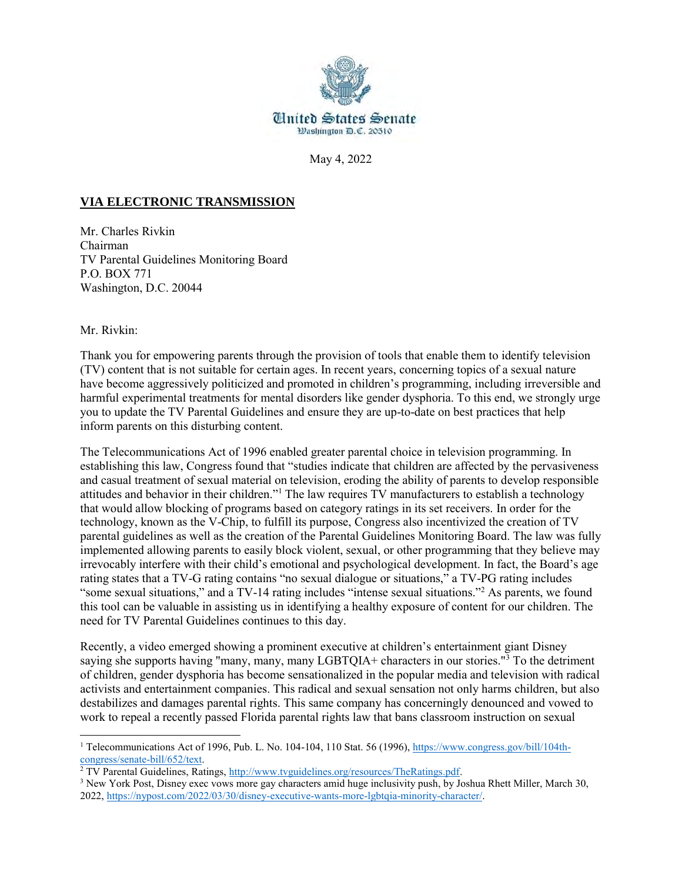

May 4, 2022

## **VIA ELECTRONIC TRANSMISSION**

Mr. Charles Rivkin Chairman TV Parental Guidelines Monitoring Board P.O. BOX 771 Washington, D.C. 20044

Mr. Rivkin:

 $\overline{a}$ 

Thank you for empowering parents through the provision of tools that enable them to identify television (TV) content that is not suitable for certain ages. In recent years, concerning topics of a sexual nature have become aggressively politicized and promoted in children's programming, including irreversible and harmful experimental treatments for mental disorders like gender dysphoria. To this end, we strongly urge you to update the TV Parental Guidelines and ensure they are up-to-date on best practices that help inform parents on this disturbing content.

The Telecommunications Act of 1996 enabled greater parental choice in television programming. In establishing this law, Congress found that "studies indicate that children are affected by the pervasiveness and casual treatment of sexual material on television, eroding the ability of parents to develop responsible attitudes and behavior in their children."<sup>1</sup> The law requires TV manufacturers to establish a technology that would allow blocking of programs based on category ratings in its set receivers. In order for the technology, known as the V-Chip, to fulfill its purpose, Congress also incentivized the creation of TV parental guidelines as well as the creation of the Parental Guidelines Monitoring Board. The law was fully implemented allowing parents to easily block violent, sexual, or other programming that they believe may irrevocably interfere with their child's emotional and psychological development. In fact, the Board's age rating states that a TV-G rating contains "no sexual dialogue or situations," a TV-PG rating includes "some sexual situations," and a TV-14 rating includes "intense sexual situations."<sup>2</sup> As parents, we found this tool can be valuable in assisting us in identifying a healthy exposure of content for our children. The need for TV Parental Guidelines continues to this day.

Recently, a video emerged showing a prominent executive at children's entertainment giant Disney saying she supports having "many, many, many LGBTQIA+ characters in our stories."<sup>3</sup> To the detriment of children, gender dysphoria has become sensationalized in the popular media and television with radical activists and entertainment companies. This radical and sexual sensation not only harms children, but also destabilizes and damages parental rights. This same company has concerningly denounced and vowed to work to repeal a recently passed Florida parental rights law that bans classroom instruction on sexual

<sup>1</sup> Telecommunications Act of 1996, Pub. L. No. 104-104, 110 Stat. 56 (1996)[, https://www.congress.gov/bill/104th](https://www.congress.gov/bill/104th-congress/senate-bill/652/text)[congress/senate-bill/652/text.](https://www.congress.gov/bill/104th-congress/senate-bill/652/text)

<sup>&</sup>lt;sup>2</sup> TV Parental Guidelines, Ratings[, http://www.tvguidelines.org/resources/TheRatings.pdf.](http://www.tvguidelines.org/resources/TheRatings.pdf)

<sup>&</sup>lt;sup>3</sup> New York Post, Disney exec vows more gay characters amid huge inclusivity push, by Joshua Rhett Miller, March 30, 2022, [https://nypost.com/2022/03/30/disney-executive-wants-more-lgbtqia-minority-character/.](https://nypost.com/2022/03/30/disney-executive-wants-more-lgbtqia-minority-character/)